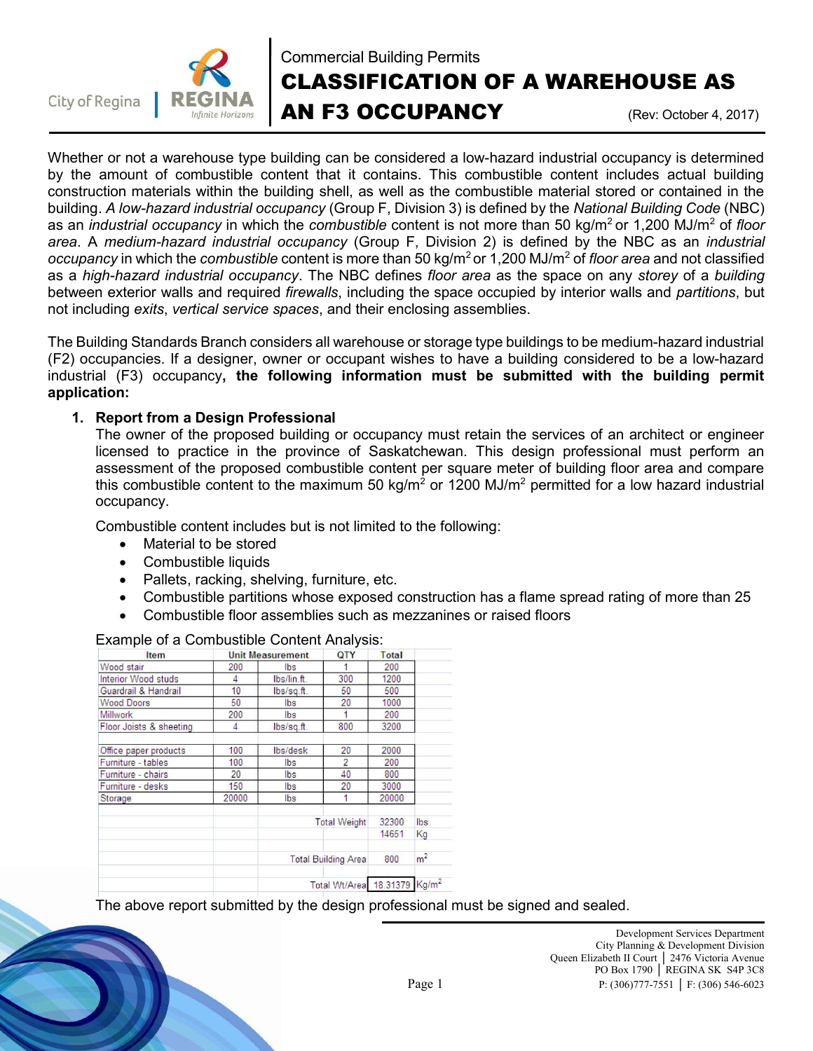



# Commercial Building Permits CLASSIFICATION OF A WAREHOUSE AS AN F3 OCCUPANCY (Rev: October 4, 2017)

Whether or not a warehouse type building can be considered a low-hazard industrial occupancy is determined by the amount of combustible content that it contains. This combustible content includes actual building construction materials within the building shell, as well as the combustible material stored or contained in the building. A low-hazard industrial occupancy (Group F, Division 3) is defined by the National Building Code (NBC) as an *industrial occupancy* in which the *combustible* content is not more than 50 kg/m<sup>2</sup> or 1,200 MJ/m<sup>2</sup> of floor area. A medium-hazard industrial occupancy (Group F, Division 2) is defined by the NBC as an industrial *occupancy* in which the *combustible* content is more than 50 kg/m<sup>2</sup> or 1,200 MJ/m<sup>2</sup> of *floor area* and not classified as a high-hazard industrial occupancy. The NBC defines floor area as the space on any storey of a building between exterior walls and required *firewalls*, including the space occupied by interior walls and *partitions*, but not including exits, vertical service spaces, and their enclosing assemblies.

The Building Standards Branch considers all warehouse or storage type buildings to be medium-hazard industrial (F2) occupancies. If a designer, owner or occupant wishes to have a building considered to be a low-hazard industrial (F3) occupancy, the following information must be submitted with the building permit application:

## 1. Report from a Design Professional

The owner of the proposed building or occupancy must retain the services of an architect or engineer licensed to practice in the province of Saskatchewan. This design professional must perform an assessment of the proposed combustible content per square meter of building floor area and compare this combustible content to the maximum 50 kg/m<sup>2</sup> or 1200 MJ/m<sup>2</sup> permitted for a low hazard industrial occupancy.

Combustible content includes but is not limited to the following:

- Material to be stored
- Combustible liquids
- Pallets, racking, shelving, furniture, etc.
- Combustible partitions whose exposed construction has a flame spread rating of more than 25
- Combustible floor assemblies such as mezzanines or raised floors

| <b>Item</b>             | <b>Unit Measurement</b><br>QTY |                            | Total                    |       |                   |
|-------------------------|--------------------------------|----------------------------|--------------------------|-------|-------------------|
| Wood stair              | 200                            | Ibs                        |                          | 200   |                   |
| Interior Wood studs     | 4                              | lbs/lin.ft.                | 300                      | 1200  |                   |
| Guardrail & Handrail    | 10                             | $lbs/sqft$ .               | 50                       | 500   |                   |
| <b>Wood Doors</b>       | 50                             | lbs.                       | 20                       | 1000  |                   |
| Millwork                | 200                            | lbs.                       |                          | 200   |                   |
| Floor Joists & sheeting | 4                              | lbs/sqft.                  | 800                      | 3200  |                   |
| Office paper products   | 100                            | lbs/desk                   | 20                       | 2000  |                   |
| Furniture - tables      | 100                            | Ibs                        | $\overline{\phantom{a}}$ | 200   |                   |
| Furniture - chairs      | 20                             | lbs.                       | 40                       | 800   |                   |
| Furniture - desks       | 150                            | lbs:                       | 20                       | 3000  |                   |
| Storage                 | 20000                          | lbs                        | 1                        | 20000 |                   |
|                         |                                | <b>Total Weight</b>        |                          | 32300 | lbs               |
|                         |                                |                            |                          | 14651 | Kg                |
|                         |                                | <b>Total Building Area</b> |                          | 800   | m <sup>2</sup>    |
|                         |                                | Total Wt/Area 18.31379     |                          |       | Kg/m <sup>2</sup> |

#### Example of a Combustible Content Analysis:

The above report submitted by the design professional must be signed and sealed.